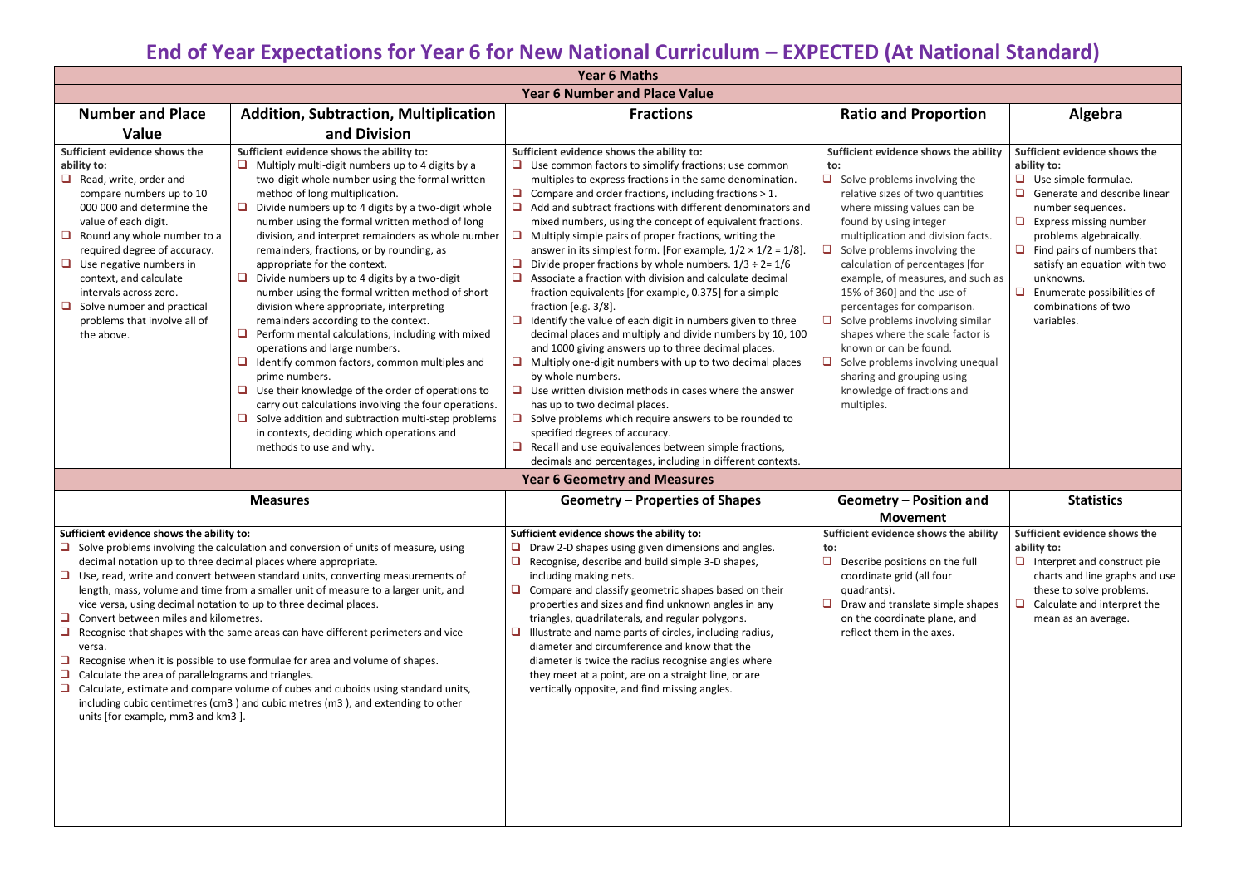## **End of Year Expectations for Year 6 for New National Curriculum – EXPECTED (At National Standard)**

| <b>Year 6 Maths</b>                                                                                                                                                                                                                                                                                                                                                                                                                                                                                                                                                                                                                                                                                                                                                                                                                                                                                                                                                                          |                                                                                                                                                                                                                                                                                                                                                                                                                                                                                                                                                                                                                                                                                                                                                                                                                                                                                                                                                                                                                                           |                                                                                                                                                                                                                                                                                                                                                                                                                                                                                                                                                                                                                                                                                                                                                                                                                                                                                                                                                                                                                                                                                                                                                                                                                                                                                                                                                              |                                                                                                                                                                                                                                                                                                                                                                                                                                                                                                                                                                                                                     |                                                                                                                                                                                                                                                                                                                                                                                 |  |  |
|----------------------------------------------------------------------------------------------------------------------------------------------------------------------------------------------------------------------------------------------------------------------------------------------------------------------------------------------------------------------------------------------------------------------------------------------------------------------------------------------------------------------------------------------------------------------------------------------------------------------------------------------------------------------------------------------------------------------------------------------------------------------------------------------------------------------------------------------------------------------------------------------------------------------------------------------------------------------------------------------|-------------------------------------------------------------------------------------------------------------------------------------------------------------------------------------------------------------------------------------------------------------------------------------------------------------------------------------------------------------------------------------------------------------------------------------------------------------------------------------------------------------------------------------------------------------------------------------------------------------------------------------------------------------------------------------------------------------------------------------------------------------------------------------------------------------------------------------------------------------------------------------------------------------------------------------------------------------------------------------------------------------------------------------------|--------------------------------------------------------------------------------------------------------------------------------------------------------------------------------------------------------------------------------------------------------------------------------------------------------------------------------------------------------------------------------------------------------------------------------------------------------------------------------------------------------------------------------------------------------------------------------------------------------------------------------------------------------------------------------------------------------------------------------------------------------------------------------------------------------------------------------------------------------------------------------------------------------------------------------------------------------------------------------------------------------------------------------------------------------------------------------------------------------------------------------------------------------------------------------------------------------------------------------------------------------------------------------------------------------------------------------------------------------------|---------------------------------------------------------------------------------------------------------------------------------------------------------------------------------------------------------------------------------------------------------------------------------------------------------------------------------------------------------------------------------------------------------------------------------------------------------------------------------------------------------------------------------------------------------------------------------------------------------------------|---------------------------------------------------------------------------------------------------------------------------------------------------------------------------------------------------------------------------------------------------------------------------------------------------------------------------------------------------------------------------------|--|--|
| <b>Year 6 Number and Place Value</b>                                                                                                                                                                                                                                                                                                                                                                                                                                                                                                                                                                                                                                                                                                                                                                                                                                                                                                                                                         |                                                                                                                                                                                                                                                                                                                                                                                                                                                                                                                                                                                                                                                                                                                                                                                                                                                                                                                                                                                                                                           |                                                                                                                                                                                                                                                                                                                                                                                                                                                                                                                                                                                                                                                                                                                                                                                                                                                                                                                                                                                                                                                                                                                                                                                                                                                                                                                                                              |                                                                                                                                                                                                                                                                                                                                                                                                                                                                                                                                                                                                                     |                                                                                                                                                                                                                                                                                                                                                                                 |  |  |
| <b>Number and Place</b>                                                                                                                                                                                                                                                                                                                                                                                                                                                                                                                                                                                                                                                                                                                                                                                                                                                                                                                                                                      | <b>Addition, Subtraction, Multiplication</b>                                                                                                                                                                                                                                                                                                                                                                                                                                                                                                                                                                                                                                                                                                                                                                                                                                                                                                                                                                                              | <b>Fractions</b>                                                                                                                                                                                                                                                                                                                                                                                                                                                                                                                                                                                                                                                                                                                                                                                                                                                                                                                                                                                                                                                                                                                                                                                                                                                                                                                                             | <b>Ratio and Proportion</b>                                                                                                                                                                                                                                                                                                                                                                                                                                                                                                                                                                                         | Algebra                                                                                                                                                                                                                                                                                                                                                                         |  |  |
| <b>Value</b>                                                                                                                                                                                                                                                                                                                                                                                                                                                                                                                                                                                                                                                                                                                                                                                                                                                                                                                                                                                 | and Division                                                                                                                                                                                                                                                                                                                                                                                                                                                                                                                                                                                                                                                                                                                                                                                                                                                                                                                                                                                                                              |                                                                                                                                                                                                                                                                                                                                                                                                                                                                                                                                                                                                                                                                                                                                                                                                                                                                                                                                                                                                                                                                                                                                                                                                                                                                                                                                                              |                                                                                                                                                                                                                                                                                                                                                                                                                                                                                                                                                                                                                     |                                                                                                                                                                                                                                                                                                                                                                                 |  |  |
| Sufficient evidence shows the<br>ability to:<br>Read, write, order and<br>compare numbers up to 10<br>000 000 and determine the<br>value of each digit.<br>Round any whole number to a<br>required degree of accuracy.<br>Use negative numbers in<br>context, and calculate<br>intervals across zero.<br>Solve number and practical<br>problems that involve all of<br>the above.                                                                                                                                                                                                                                                                                                                                                                                                                                                                                                                                                                                                            | Sufficient evidence shows the ability to:<br>Multiply multi-digit numbers up to 4 digits by a<br>two-digit whole number using the formal written<br>method of long multiplication.<br>Divide numbers up to 4 digits by a two-digit whole<br>number using the formal written method of long<br>division, and interpret remainders as whole number<br>remainders, fractions, or by rounding, as<br>appropriate for the context.<br>Divide numbers up to 4 digits by a two-digit<br>□<br>number using the formal written method of short<br>division where appropriate, interpreting<br>remainders according to the context.<br>Perform mental calculations, including with mixed<br>□<br>operations and large numbers.<br>Identify common factors, common multiples and<br>□<br>prime numbers.<br>Use their knowledge of the order of operations to<br>carry out calculations involving the four operations.<br>Solve addition and subtraction multi-step problems<br>in contexts, deciding which operations and<br>methods to use and why. | Sufficient evidence shows the ability to:<br>$\Box$ Use common factors to simplify fractions; use common<br>multiples to express fractions in the same denomination.<br>$\Box$<br>Compare and order fractions, including fractions > 1.<br>❏<br>Add and subtract fractions with different denominators and<br>mixed numbers, using the concept of equivalent fractions.<br>❏<br>Multiply simple pairs of proper fractions, writing the<br>answer in its simplest form. [For example, $1/2 \times 1/2 = 1/8$ ].<br>Divide proper fractions by whole numbers. $1/3 \div 2 = 1/6$<br>$\Box$<br>❏<br>Associate a fraction with division and calculate decimal<br>fraction equivalents [for example, 0.375] for a simple<br>fraction [e.g. $3/8$ ].<br>$\Box$<br>Identify the value of each digit in numbers given to three<br>decimal places and multiply and divide numbers by 10, 100<br>and 1000 giving answers up to three decimal places.<br>❏<br>Multiply one-digit numbers with up to two decimal places<br>by whole numbers.<br>❏<br>Use written division methods in cases where the answer<br>has up to two decimal places.<br>□<br>Solve problems which require answers to be rounded to<br>specified degrees of accuracy.<br>❏<br>Recall and use equivalences between simple fractions,<br>decimals and percentages, including in different contexts. | Sufficient evidence shows the ability<br>to:<br>$\Box$<br>Solve problems involving the<br>relative sizes of two quantities<br>where missing values can be<br>found by using integer<br>multiplication and division facts.<br>Solve problems involving the<br>⊔<br>calculation of percentages [for<br>example, of measures, and such as<br>15% of 360] and the use of<br>percentages for comparison.<br>Solve problems involving similar<br>shapes where the scale factor is<br>known or can be found.<br>Solve problems involving unequal<br>sharing and grouping using<br>knowledge of fractions and<br>multiples. | Sufficient evidence shows the<br>ability to:<br>$\Box$ Use simple formulae.<br>$\Box$<br>Generate and describe linear<br>number sequences.<br>$\Box$<br><b>Express missing number</b><br>problems algebraically.<br>$\Box$ Find pairs of numbers that<br>satisfy an equation with two<br>unknowns.<br>$\Box$<br>Enumerate possibilities of<br>combinations of two<br>variables. |  |  |
|                                                                                                                                                                                                                                                                                                                                                                                                                                                                                                                                                                                                                                                                                                                                                                                                                                                                                                                                                                                              |                                                                                                                                                                                                                                                                                                                                                                                                                                                                                                                                                                                                                                                                                                                                                                                                                                                                                                                                                                                                                                           | <b>Year 6 Geometry and Measures</b>                                                                                                                                                                                                                                                                                                                                                                                                                                                                                                                                                                                                                                                                                                                                                                                                                                                                                                                                                                                                                                                                                                                                                                                                                                                                                                                          |                                                                                                                                                                                                                                                                                                                                                                                                                                                                                                                                                                                                                     |                                                                                                                                                                                                                                                                                                                                                                                 |  |  |
|                                                                                                                                                                                                                                                                                                                                                                                                                                                                                                                                                                                                                                                                                                                                                                                                                                                                                                                                                                                              | <b>Measures</b>                                                                                                                                                                                                                                                                                                                                                                                                                                                                                                                                                                                                                                                                                                                                                                                                                                                                                                                                                                                                                           | Geometry – Properties of Shapes                                                                                                                                                                                                                                                                                                                                                                                                                                                                                                                                                                                                                                                                                                                                                                                                                                                                                                                                                                                                                                                                                                                                                                                                                                                                                                                              | Geometry – Position and<br><b>Movement</b>                                                                                                                                                                                                                                                                                                                                                                                                                                                                                                                                                                          | <b>Statistics</b>                                                                                                                                                                                                                                                                                                                                                               |  |  |
| Sufficient evidence shows the ability to:<br>□<br>Solve problems involving the calculation and conversion of units of measure, using<br>decimal notation up to three decimal places where appropriate.<br>$\Box$<br>Use, read, write and convert between standard units, converting measurements of<br>length, mass, volume and time from a smaller unit of measure to a larger unit, and<br>vice versa, using decimal notation to up to three decimal places.<br>Convert between miles and kilometres.<br>□<br>Recognise that shapes with the same areas can have different perimeters and vice<br>$\Box$<br>versa.<br>$\Box$<br>Recognise when it is possible to use formulae for area and volume of shapes.<br>Calculate the area of parallelograms and triangles.<br>Calculate, estimate and compare volume of cubes and cuboids using standard units,<br>$\Box$<br>including cubic centimetres (cm3) and cubic metres (m3), and extending to other<br>units [for example, mm3 and km3]. |                                                                                                                                                                                                                                                                                                                                                                                                                                                                                                                                                                                                                                                                                                                                                                                                                                                                                                                                                                                                                                           | Sufficient evidence shows the ability to:<br>Draw 2-D shapes using given dimensions and angles.<br>$\Box$<br>$\Box$<br>Recognise, describe and build simple 3-D shapes,<br>including making nets.<br>Compare and classify geometric shapes based on their<br>$\Box$<br>properties and sizes and find unknown angles in any<br>triangles, quadrilaterals, and regular polygons.<br>Illustrate and name parts of circles, including radius,<br>❏<br>diameter and circumference and know that the<br>diameter is twice the radius recognise angles where<br>they meet at a point, are on a straight line, or are<br>vertically opposite, and find missing angles.                                                                                                                                                                                                                                                                                                                                                                                                                                                                                                                                                                                                                                                                                               | Sufficient evidence shows the ability<br>to:<br>Describe positions on the full<br>coordinate grid (all four<br>quadrants).<br>Draw and translate simple shapes<br>u<br>on the coordinate plane, and<br>reflect them in the axes.                                                                                                                                                                                                                                                                                                                                                                                    | Sufficient evidence shows the<br>ability to:<br>$\Box$ Interpret and construct pie<br>charts and line graphs and use<br>these to solve problems.<br>Calculate and interpret the<br>mean as an average.                                                                                                                                                                          |  |  |